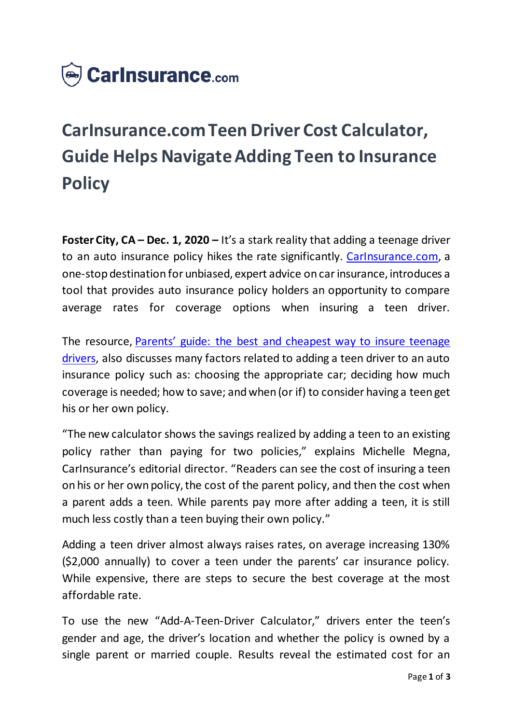

## **CarInsurance.com Teen Driver Cost Calculator, Guide Helps Navigate Adding Teen to Insurance Policy**

**Foster City, CA – Dec. 1, 2020 –** It's a stark reality that adding a teenage driver to an auto insurance policy hikes the rate significantly. [CarInsurance.com,](https://www.carinsurance.com/) a one-stop destination for unbiased, expert advice on car insurance, introduces a tool that provides auto insurance policy holders an opportunity to compare average rates for coverage options when insuring a teen driver.

The resource, [Parents' guide: the best and cheapest way to insure teenage](https://www.carinsurance.com/Articles/best-ways-to-insure-teen-driver.aspx)  [drivers,](https://www.carinsurance.com/Articles/best-ways-to-insure-teen-driver.aspx) also discusses many factors related to adding a teen driver to an auto insurance policy such as: choosing the appropriate car; deciding how much coverage is needed; how to save; and when (or if) to consider having a teen get his or her own policy.

"The new calculator shows the savings realized by adding a teen to an existing policy rather than paying for two policies," explains Michelle Megna, CarInsurance's editorial director. "Readers can see the cost of insuring a teen on his or her own policy, the cost of the parent policy, and then the cost when a parent adds a teen. While parents pay more after adding a teen, it is still much less costly than a teen buying their own policy."

Adding a teen driver almost always raises rates, on average increasing 130% (\$2,000 annually) to cover a teen under the parents' car insurance policy. While expensive, there are steps to secure the best coverage at the most affordable rate.

To use the new "Add-A-Teen-Driver Calculator," drivers enter the teen's gender and age, the driver's location and whether the policy is owned by a single parent or married couple. Results reveal the estimated cost for an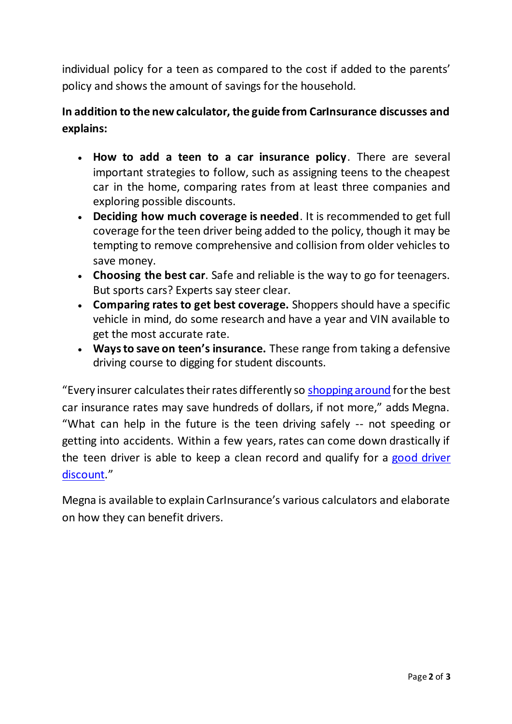individual policy for a teen as compared to the cost if added to the parents' policy and shows the amount of savings for the household.

## **In addition to the new calculator, the guide from CarInsurance discusses and explains:**

- **How to add a teen to a car insurance policy**. There are several important strategies to follow, such as assigning teens to the cheapest car in the home, comparing rates from at least three companies and exploring possible discounts.
- **Deciding how much coverage is needed**. It is recommended to get full coverage for the teen driver being added to the policy, though it may be tempting to remove comprehensive and collision from older vehicles to save money.
- **Choosing the best car**. Safe and reliable is the way to go for teenagers. But sports cars? Experts say steer clear.
- **Comparing rates to get best coverage.** Shoppers should have a specific vehicle in mind, do some research and have a year and VIN available to get the most accurate rate.
- **Ways to save on teen's insurance.** These range from taking a defensive driving course to digging for student discounts.

"Every insurer calculates their rates differently so [shopping around](https://www.carinsurance.com/car-insurance-comparison.aspx) for the best car insurance rates may save hundreds of dollars, if not more," adds Megna. "What can help in the future is the teen driving safely -- not speeding or getting into accidents. Within a few years, rates can come down drastically if the teen driver is able to keep a clean record and qualify for a [good driver](https://www.carinsurance.com/Articles/good-driver-discount.aspx)  [discount](https://www.carinsurance.com/Articles/good-driver-discount.aspx)."

Megna is available to explain CarInsurance's various calculators and elaborate on how they can benefit drivers.